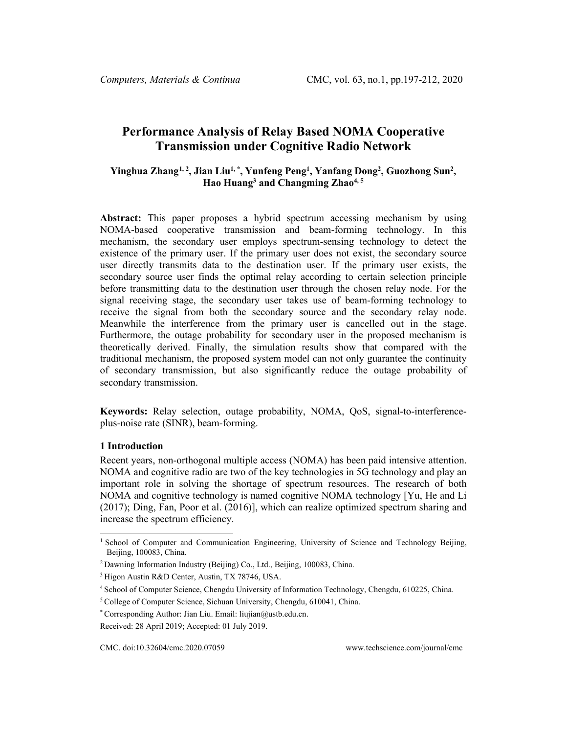# **Performance Analysis of Relay Based NOMA Cooperative Transmission under Cognitive Radio Network**

# **Yinghua Zhan[g1,](#page-0-0) 2, Jian Liu1, \*, Yunfeng Peng1 , Yanfang Dong2 , Guozhong Sun2 ,**  Hao Huang<sup>3</sup> and Changming Zhao<sup>4,5</sup>

**Abstract:** This paper proposes a hybrid spectrum accessing mechanism by using NOMA-based cooperative transmission and beam-forming technology. In this mechanism, the secondary user employs spectrum-sensing technology to detect the existence of the primary user. If the primary user does not exist, the secondary source user directly transmits data to the destination user. If the primary user exists, the secondary source user finds the optimal relay according to certain selection principle before transmitting data to the destination user through the chosen relay node. For the signal receiving stage, the secondary user takes use of beam-forming technology to receive the signal from both the secondary source and the secondary relay node. Meanwhile the interference from the primary user is cancelled out in the stage. Furthermore, the outage probability for secondary user in the proposed mechanism is theoretically derived. Finally, the simulation results show that compared with the traditional mechanism, the proposed system model can not only guarantee the continuity of secondary transmission, but also significantly reduce the outage probability of secondary transmission.

**Keywords:** Relay selection, outage probability, NOMA, QoS, signal-to-interferenceplus-noise rate (SINR), beam-forming.

# **1 Introduction**

Recent years, non-orthogonal multiple access (NOMA) has been paid intensive attention. NOMA and cognitive radio are two of the key technologies in 5G technology and play an important role in solving the shortage of spectrum resources. The research of both NOMA and cognitive technology is named cognitive NOMA technology [Yu, He and Li (2017); Ding, Fan, Poor et al. (2016)], which can realize optimized spectrum sharing and increase the spectrum efficiency.

<span id="page-0-0"></span><sup>&</sup>lt;sup>1</sup> School of Computer and Communication Engineering, University of Science and Technology Beijing, Beijing, 100083, China.

<sup>2</sup> Dawning Information Industry (Beijing) Co., Ltd., Beijing, 100083, China.

<sup>3</sup> Higon Austin R&D Center, Austin, TX 78746, USA.

<sup>4</sup> School of Computer Science, Chengdu University of Information Technology, Chengdu, 610225, China.

<sup>5</sup> College of Computer Science, Sichuan University, Chengdu, 610041, China.

<sup>\*</sup> Corresponding Author: Jian Liu. Email: liujian@ustb.edu.cn.

Received: 28 April 2019; Accepted: 01 July 2019.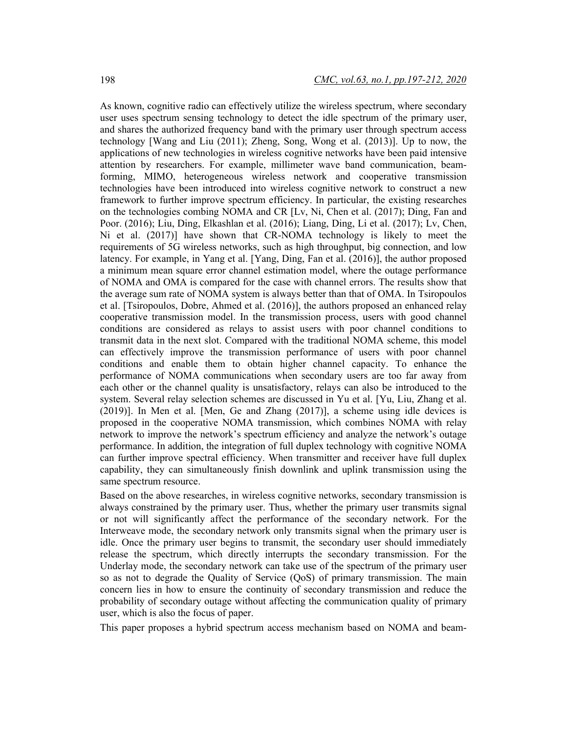As known, cognitive radio can effectively utilize the wireless spectrum, where secondary user uses spectrum sensing technology to detect the idle spectrum of the primary user, and shares the authorized frequency band with the primary user through spectrum access technology [Wang and Liu (2011); Zheng, Song, Wong et al. (2013)]. Up to now, the applications of new technologies in wireless cognitive networks have been paid intensive attention by researchers. For example, millimeter wave band communication, beamforming, MIMO, heterogeneous wireless network and cooperative transmission technologies have been introduced into wireless cognitive network to construct a new framework to further improve spectrum efficiency. In particular, the existing researches on the technologies combing NOMA and CR [Lv, Ni, Chen et al. (2017); Ding, Fan and Poor. (2016); Liu, Ding, Elkashlan et al. (2016); Liang, Ding, Li et al. (2017); Lv, Chen, Ni et al. (2017)] have shown that CR-NOMA technology is likely to meet the requirements of 5G wireless networks, such as high throughput, big connection, and low latency. For example, in Yang et al. [Yang, Ding, Fan et al. (2016)], the author proposed a minimum mean square error channel estimation model, where the outage performance of NOMA and OMA is compared for the case with channel errors. The results show that the average sum rate of NOMA system is always better than that of OMA. In Tsiropoulos et al. [Tsiropoulos, Dobre, Ahmed et al. (2016)], the authors proposed an enhanced relay cooperative transmission model. In the transmission process, users with good channel conditions are considered as relays to assist users with poor channel conditions to transmit data in the next slot. Compared with the traditional NOMA scheme, this model can effectively improve the transmission performance of users with poor channel conditions and enable them to obtain higher channel capacity. To enhance the performance of NOMA communications when secondary users are too far away from each other or the channel quality is unsatisfactory, relays can also be introduced to the system. Several relay selection schemes are discussed in Yu et al. [Yu, Liu, Zhang et al. (2019)]. In Men et al. [Men, Ge and Zhang (2017)], a scheme using idle devices is proposed in the cooperative NOMA transmission, which combines NOMA with relay network to improve the network's spectrum efficiency and analyze the network's outage performance. In addition, the integration of full duplex technology with cognitive NOMA can further improve spectral efficiency. When transmitter and receiver have full duplex capability, they can simultaneously finish downlink and uplink transmission using the same spectrum resource.

Based on the above researches, in wireless cognitive networks, secondary transmission is always constrained by the primary user. Thus, whether the primary user transmits signal or not will significantly affect the performance of the secondary network. For the Interweave mode, the secondary network only transmits signal when the primary user is idle. Once the primary user begins to transmit, the secondary user should immediately release the spectrum, which directly interrupts the secondary transmission. For the Underlay mode, the secondary network can take use of the spectrum of the primary user so as not to degrade the Quality of Service (QoS) of primary transmission. The main concern lies in how to ensure the continuity of secondary transmission and reduce the probability of secondary outage without affecting the communication quality of primary user, which is also the focus of paper.

This paper proposes a hybrid spectrum access mechanism based on NOMA and beam-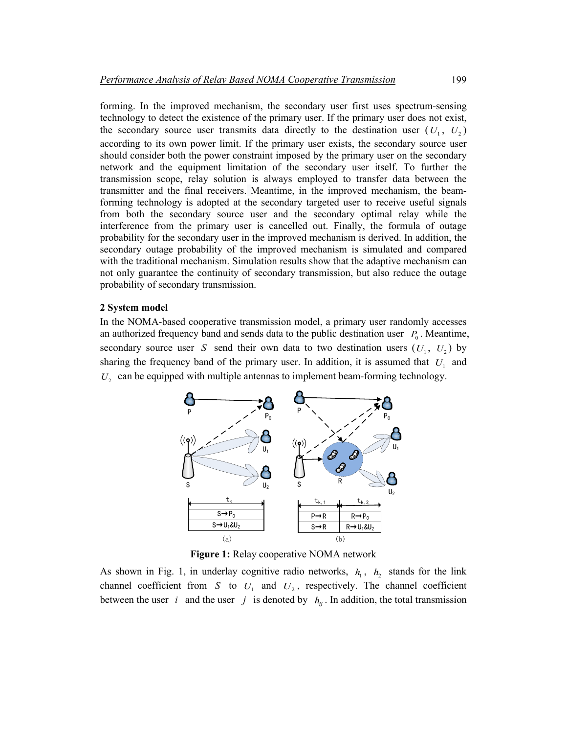forming. In the improved mechanism, the secondary user first uses spectrum-sensing technology to detect the existence of the primary user. If the primary user does not exist, the secondary source user transmits data directly to the destination user  $(U_1, U_2)$ according to its own power limit. If the primary user exists, the secondary source user should consider both the power constraint imposed by the primary user on the secondary network and the equipment limitation of the secondary user itself. To further the transmission scope, relay solution is always employed to transfer data between the transmitter and the final receivers. Meantime, in the improved mechanism, the beamforming technology is adopted at the secondary targeted user to receive useful signals from both the secondary source user and the secondary optimal relay while the interference from the primary user is cancelled out. Finally, the formula of outage probability for the secondary user in the improved mechanism is derived. In addition, the secondary outage probability of the improved mechanism is simulated and compared with the traditional mechanism. Simulation results show that the adaptive mechanism can not only guarantee the continuity of secondary transmission, but also reduce the outage probability of secondary transmission.

#### **2 System model**

In the NOMA-based cooperative transmission model, a primary user randomly accesses an authorized frequency band and sends data to the public destination user  $P_0$ . Meantime, secondary source user *S* send their own data to two destination users  $(U_1, U_2)$  by sharing the frequency band of the primary user. In addition, it is assumed that  $U_1$  and  $U_2$  can be equipped with multiple antennas to implement beam-forming technology.



**Figure 1:** Relay cooperative NOMA network

As shown in Fig. 1, in underlay cognitive radio networks,  $h_1$ ,  $h_2$  stands for the link channel coefficient from *S* to  $U_1$  and  $U_2$ , respectively. The channel coefficient between the user *i* and the user *j* is denoted by  $h_{ij}$ . In addition, the total transmission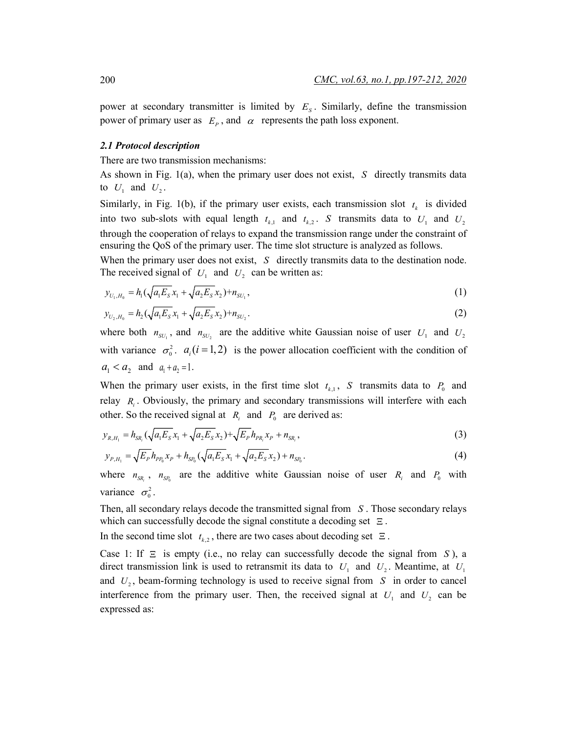power at secondary transmitter is limited by  $E<sub>s</sub>$ . Similarly, define the transmission power of primary user as  $E_p$ , and  $\alpha$  represents the path loss exponent.

#### *2.1 Protocol description*

There are two transmission mechanisms:

As shown in Fig. 1(a), when the primary user does not exist, *S* directly transmits data to  $U_1$  and  $U_2$ .

Similarly, in Fig. 1(b), if the primary user exists, each transmission slot  $t<sub>k</sub>$  is divided into two sub-slots with equal length  $t_{k_1}$  and  $t_{k_2}$ . *S* transmits data to  $U_1$  and  $U_2$ through the cooperation of relays to expand the transmission range under the constraint of ensuring the QoS of the primary user. The time slot structure is analyzed as follows.

When the primary user does not exist, *S* directly transmits data to the destination node. The received signal of  $U_1$  and  $U_2$  can be written as:

$$
y_{U_1,H_0} = h_1(\sqrt{a_1 E_s} x_1 + \sqrt{a_2 E_s} x_2) + n_{SU_1},
$$
\n(1)

$$
y_{U_2,H_0} = h_2(\sqrt{a_1 E_s} x_1 + \sqrt{a_2 E_s} x_2) + n_{SU_2}.
$$
\n(2)

where both  $n_{SU_1}$ , and  $n_{SU_2}$  are the additive white Gaussian noise of user  $U_1$  and  $U_2$ with variance  $\sigma_0^2$ .  $a_i (i = 1,2)$  is the power allocation coefficient with the condition of  $a_1 < a_2$  and  $a_1 + a_2 = 1$ .

When the primary user exists, in the first time slot  $t_{k,1}$ , *S* transmits data to  $P_0$  and relay *R<sub>i</sub>*. Obviously, the primary and secondary transmissions will interfere with each other. So the received signal at  $R_i$  and  $P_0$  are derived as:

$$
y_{R,H_1} = h_{SR_i} \left( \sqrt{a_1 E_S} x_1 + \sqrt{a_2 E_S} x_2 \right) + \sqrt{E_P} h_{PR_i} x_P + n_{SR_i},\tag{3}
$$

$$
y_{P,H_1} = \sqrt{E_P} h_{PP_0} x_P + h_{SP_0} (\sqrt{a_1 E_S} x_1 + \sqrt{a_2 E_S} x_2) + n_{SP_0}.
$$
 (4)

where  $n_{SR}$ ,  $n_{SP_0}$  are the additive white Gaussian noise of user  $R_i$  and  $P_0$  with variance  $\sigma_0^2$ .

Then, all secondary relays decode the transmitted signal from *S* . Those secondary relays which can successfully decode the signal constitute a decoding set  $\Xi$ .

In the second time slot  $t_{k,2}$ , there are two cases about decoding set  $\Xi$ .

Case 1: If Ξ is empty (i.e., no relay can successfully decode the signal from *S* ), a direct transmission link is used to retransmit its data to  $U_1$  and  $U_2$ . Meantime, at  $U_1$ and  $U_2$ , beam-forming technology is used to receive signal from  $S$  in order to cancel interference from the primary user. Then, the received signal at  $U_1$  and  $U_2$  can be expressed as: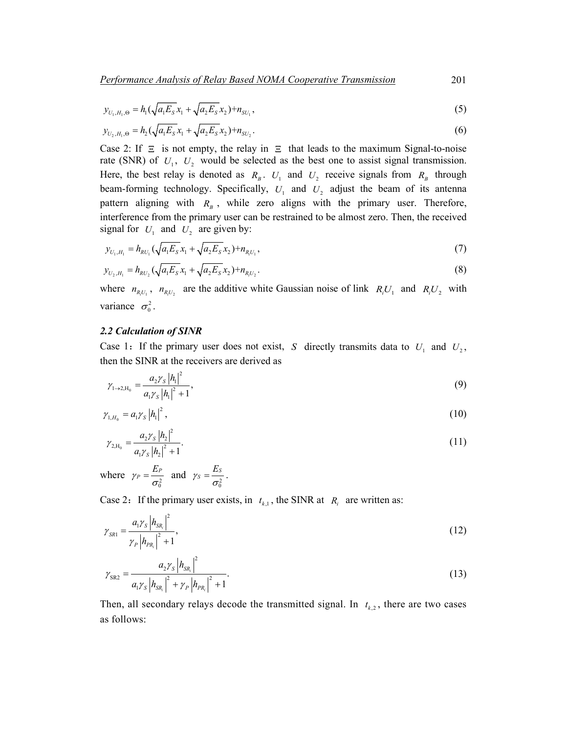*Performance Analysis of Relay Based NOMA Cooperative Transmission* 201

$$
y_{U_1,H_1,0} = h_1(\sqrt{a_1 E_s} x_1 + \sqrt{a_2 E_s} x_2) + n_{SU_1},
$$
\n(5)

$$
y_{U_2,H_1, \Theta} = h_2(\sqrt{a_1 E_s} x_1 + \sqrt{a_2 E_s} x_2) + n_{SU_2}.
$$
\n(6)

Case 2: If  $\Xi$  is not empty, the relay in  $\Xi$  that leads to the maximum Signal-to-noise rate (SNR) of  $U_1$ ,  $U_2$  would be selected as the best one to assist signal transmission. Here, the best relay is denoted as  $R_B$ .  $U_1$  and  $U_2$  receive signals from  $R_B$  through beam-forming technology. Specifically,  $U_1$  and  $U_2$  adjust the beam of its antenna pattern aligning with  $R_B$ , while zero aligns with the primary user. Therefore, interference from the primary user can be restrained to be almost zero. Then, the received signal for  $U_1$  and  $U_2$  are given by:

$$
y_{U_1,H_1} = h_{RU_1}(\sqrt{a_1 E_s} x_1 + \sqrt{a_2 E_s} x_2) + n_{R_i U_1},
$$
\n(7)

$$
y_{U_2,H_1} = h_{RU_2} \left(\sqrt{a_1 E_S} x_1 + \sqrt{a_2 E_S} x_2\right) + n_{R_1 U_2}.\tag{8}
$$

where  $n_{R,U_1}$ ,  $n_{R,U_2}$  are the additive white Gaussian noise of link  $R_iU_1$  and  $R_iU_2$  with variance  $\sigma_0^2$ .

## *2.2 Calculation of SINR*

Case 1: If the primary user does not exist, *S* directly transmits data to  $U_1$  and  $U_2$ , then the SINR at the receivers are derived as

$$
\gamma_{1\to 2,\mathrm{H}_0} = \frac{a_2 \gamma_s |h_1|^2}{a_1 \gamma_s |h_1|^2 + 1},\tag{9}
$$

$$
\gamma_{1,H_0} = a_1 \gamma_s |h_1|^2, \tag{10}
$$

$$
\gamma_{2,\mathrm{H}_0} = \frac{a_2 \gamma_s |h_2|^2}{a_1 \gamma_s |h_2|^2 + 1}.\tag{11}
$$

where  $\gamma_P = \frac{E_P}{\sigma_0^2}$  $\gamma_P = \frac{E_P}{\sigma_0^2}$  and  $\gamma_S = \frac{E_S}{\sigma_0^2}$  $\gamma_S = \frac{E_S}{\sigma_0^2}$ .

Case 2: If the primary user exists, in  $t_{k,1}$ , the SINR at  $R_i$  are written as:

$$
\gamma_{SR1} = \frac{a_1 \gamma_S \left| h_{SR_i} \right|^2}{\gamma_P \left| h_{PR_i} \right|^2 + 1},\tag{12}
$$

$$
\gamma_{\rm SR2} = \frac{a_2 \gamma_{\rm S} |h_{\rm SR_i}|^2}{a_1 \gamma_{\rm S} |h_{\rm SR_i}|^2 + \gamma_P |h_{\rm PR_i}|^2 + 1}.
$$
\n(13)

Then, all secondary relays decode the transmitted signal. In  $t_{k,2}$ , there are two cases as follows: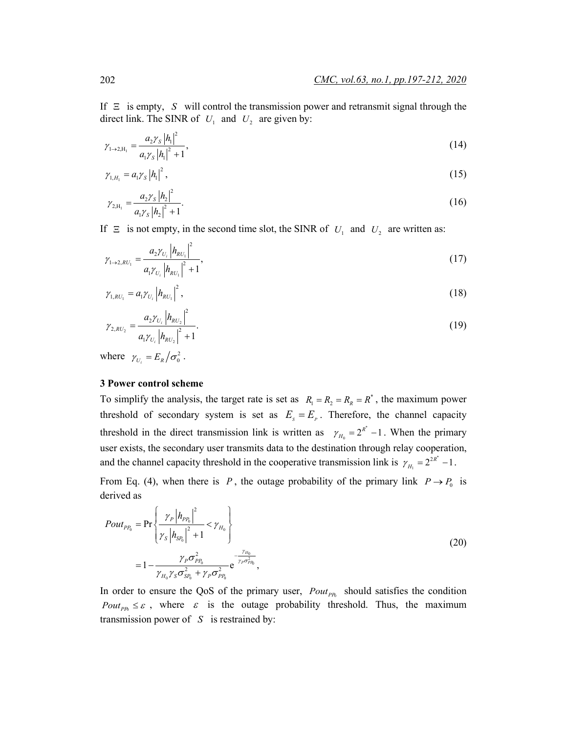If  $\Xi$  is empty, *S* will control the transmission power and retransmit signal through the direct link. The SINR of  $U_1$  and  $U_2$  are given by:

$$
\gamma_{1\to 2,\mathrm{H}_1} = \frac{a_2 \gamma_s |h_1|^2}{a_1 \gamma_s |h_1|^2 + 1},\tag{14}
$$

$$
\gamma_{1,H_1} = a_1 \gamma_s |h_1|^2, \qquad (15)
$$

$$
\gamma_{2,H_1} = \frac{a_2 \gamma_s |h_2|^2}{a_1 \gamma_s |h_2|^2 + 1}.
$$
\n(16)

If  $\Xi$  is not empty, in the second time slot, the SINR of  $U_1$  and  $U_2$  are written as:

$$
\gamma_{1\to 2,RU_1} = \frac{a_2 \gamma_{U_i} |h_{RU_1}|^2}{a_1 \gamma_{U_i} |h_{RU_1}|^2 + 1},\tag{17}
$$

$$
\gamma_{1,RU_1} = a_1 \gamma_{U_i} \left| h_{RU_1} \right|^2, \tag{18}
$$

$$
\gamma_{2,RU_2} = \frac{a_2 \gamma_{U_i} |h_{RU_2}|^2}{a_1 \gamma_{U_i} |h_{RU_2}|^2 + 1}.
$$
\n(19)

where  $\gamma_{U_i} = E_R / \sigma_0^2$ .

#### **3 Power control scheme**

To simplify the analysis, the target rate is set as  $R_1 = R_2 = R_2 = R^*$ , the maximum power threshold of secondary system is set as  $E_s = E_p$ . Therefore, the channel capacity threshold in the direct transmission link is written as  $\gamma_{H_0} = 2^{R^*} - 1$ . When the primary user exists, the secondary user transmits data to the destination through relay cooperation, and the channel capacity threshold in the cooperative transmission link is  $\gamma_{H_1} = 2^{2R^*} - 1$ .

From Eq. (4), when there is *P*, the outage probability of the primary link  $P \rightarrow P_0$  is derived as

$$
Pout_{PP_0} = \Pr\left\{\frac{\gamma_P |h_{PP_0}|^2}{\gamma_S |h_{SP_0}|^2 + 1} < \gamma_{H_0}\right\}
$$
  
=  $1 - \frac{\gamma_P \sigma_{PP_0}^2}{\gamma_{H_0} \gamma_S \sigma_{SP_0}^2 + \gamma_P \sigma_{PP_0}^2} e^{-\frac{\gamma_{H_0}}{\gamma_P \sigma_{PP_0}^2}},$  (20)

In order to ensure the QoS of the primary user,  $P_{out_{PR}}$  should satisfies the condition *Pout<sub>PP0</sub>*  $\leq \varepsilon$ , where  $\varepsilon$  is the outage probability threshold. Thus, the maximum transmission power of *S* is restrained by: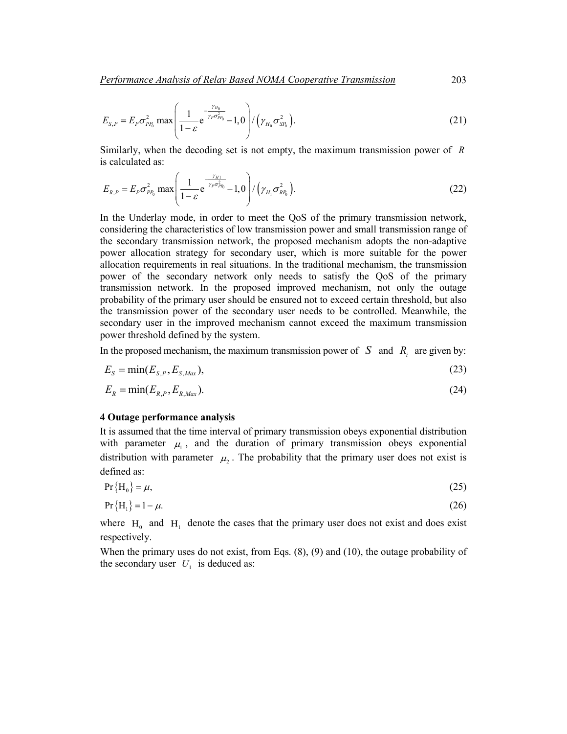$$
E_{S,P} = E_P \sigma_{PP_0}^2 \max \left( \frac{1}{1 - \varepsilon} e^{-\frac{\gamma_{H_0}}{\gamma_P \sigma_{PP_0}^2}} - 1,0 \right) / (\gamma_{H_0} \sigma_{SP_0}^2).
$$
 (21)

Similarly, when the decoding set is not empty, the maximum transmission power of *R* is calculated as:

$$
E_{R,P} = E_P \sigma_{PP_0}^2 \max \left( \frac{1}{1 - \varepsilon} e^{-\frac{\gamma_{H1}}{\gamma_P \sigma_{PD_0}^2}} - 1,0 \right) / (\gamma_{H_1} \sigma_{RP_0}^2).
$$
 (22)

In the Underlay mode, in order to meet the QoS of the primary transmission network, considering the characteristics of low transmission power and small transmission range of the secondary transmission network, the proposed mechanism adopts the non-adaptive power allocation strategy for secondary user, which is more suitable for the power allocation requirements in real situations. In the traditional mechanism, the transmission power of the secondary network only needs to satisfy the QoS of the primary transmission network. In the proposed improved mechanism, not only the outage probability of the primary user should be ensured not to exceed certain threshold, but also the transmission power of the secondary user needs to be controlled. Meanwhile, the secondary user in the improved mechanism cannot exceed the maximum transmission power threshold defined by the system.

In the proposed mechanism, the maximum transmission power of  $S$  and  $R_i$  are given by:

$$
E_s = \min(E_{s,P}, E_{s, \text{Max}}),\tag{23}
$$

$$
E_R = \min(E_{R,P}, E_{R, \text{Max}}). \tag{24}
$$

#### **4 Outage performance analysis**

It is assumed that the time interval of primary transmission obeys exponential distribution with parameter  $\mu_1$ , and the duration of primary transmission obeys exponential distribution with parameter  $\mu_2$ . The probability that the primary user does not exist is defined as:

$$
Pr{H_0} = \mu,
$$
\n(25)

$$
Pr{H1} = 1 - \mu.
$$
 (26)

where  $H_0$  and  $H_1$  denote the cases that the primary user does not exist and does exist respectively.

When the primary uses do not exist, from Eqs.  $(8)$ ,  $(9)$  and  $(10)$ , the outage probability of the secondary user  $U_1$  is deduced as: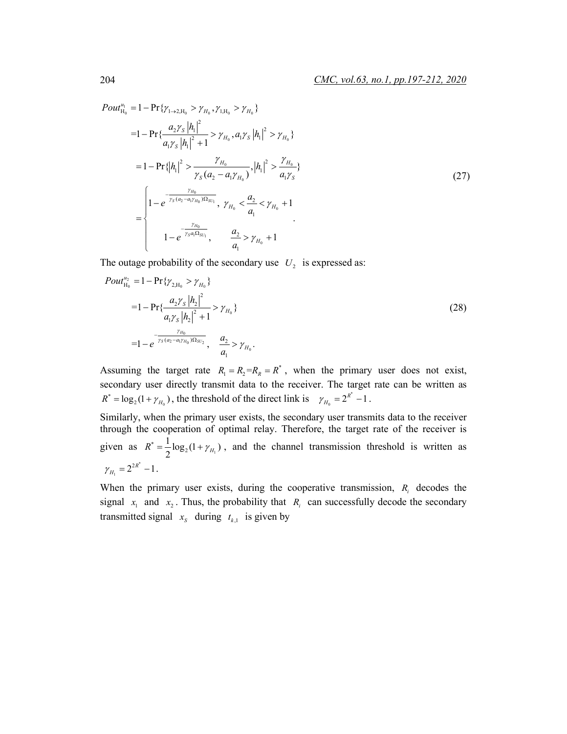$$
Pout_{H_0}^{\nu_1} = 1 - \Pr{\gamma_{1\to 2, H_0} > \gamma_{H_0}, \gamma_{1, H_0} > \gamma_{H_0}}= 1 - \Pr{\frac{a_2 \gamma_s |h_1|^2}{a_1 \gamma_s |h_1|^2 + 1} > \gamma_{H_0}, a_1 \gamma_s |h_1|^2 > \gamma_{H_0}}= 1 - \Pr{\frac{h_1}{a_1} > \frac{\gamma_{H_0}}{\gamma_s (a_2 - a_1 \gamma_{H_0})}, |h_1|^2 > \frac{\gamma_{H_0}}{a_1 \gamma_s}}= \begin{cases} 1 - e^{\frac{\gamma_{H_0}}{\gamma_s (a_2 - a_1 \gamma_{H_0}) \Omega_{SU_1}}}, & \gamma_{H_0} < \frac{a_2}{a_1} < \gamma_{H_0} + 1\\ 1 - e^{\frac{\gamma_{H_0}}{\gamma_s a_1 \Omega_{SU_1}}}, & \frac{a_2}{a_1} > \gamma_{H_0} + 1 \end{cases}
$$
(27)

The outage probability of the secondary use  $U_2$  is expressed as:

$$
Pout_{H_0}^{u_2} = 1 - \Pr{\gamma_{2,H_0} > \gamma_{H_0}}= 1 - \Pr{\frac{a_2 \gamma_s |h_2|^2}{a_1 \gamma_s |h_2|^2 + 1} > \gamma_{H_0}}= 1 - e^{\frac{\gamma_{H_0}}{\gamma_s (a_2 - a_1 \gamma_{H_0}) \Omega_{SU_2}}}, \quad \frac{a_2}{a_1} > \gamma_{H_0}.
$$
\n(28)

Assuming the target rate  $R_1 = R_2 = R_2 = R^*$ , when the primary user does not exist, secondary user directly transmit data to the receiver. The target rate can be written as  $\bf{0}$  $R^* = \log_2(1 + \gamma_{H_0})$ , the threshold of the direct link is  $\gamma_{H_0} = 2^{R^*} - 1$ .

Similarly, when the primary user exists, the secondary user transmits data to the receiver through the cooperation of optimal relay. Therefore, the target rate of the receiver is given as  $R^* = \frac{1}{2} \log_2(1 + \gamma_{H_1})$  $R^* = \frac{1}{2} \log_2(1 + \gamma_{H_1})$ , and the channel transmission threshold is written as \*  $\gamma_{H_1} = 2^{2R^*} - 1$ .

When the primary user exists, during the cooperative transmission,  $R_i$  decodes the signal  $x_1$  and  $x_2$ . Thus, the probability that  $R_i$  can successfully decode the secondary transmitted signal  $x_s$  during  $t_{k,1}$  is given by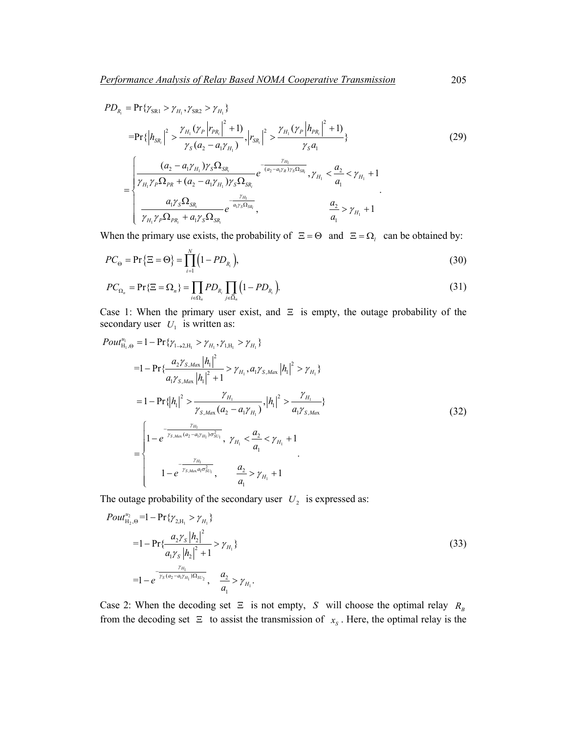$$
PD_{R_i} = \Pr\{\gamma_{SR1} > \gamma_{H_1}, \gamma_{SR2} > \gamma_{H_1}\}\
$$
  
\n
$$
= \Pr\{\left|h_{SR_i}\right|^2 > \frac{\gamma_{H_1}(\gamma_P|r_{PR_i}|^2 + 1)}{\gamma_S(a_2 - a_1\gamma_{H_1})}, \left|r_{SR_i}\right|^2 > \frac{\gamma_{H_1}(\gamma_P|h_{PR_i}|^2 + 1)}{\gamma_S a_1}\}
$$
  
\n
$$
= \begin{cases}\n\frac{(a_2 - a_1\gamma_{H_1})\gamma_S \Omega_{SR_i}}{\gamma_{H_1}\gamma_P \Omega_{PR} + (a_2 - a_1\gamma_{H_1})\gamma_S \Omega_{SR_i}} e^{-\frac{\gamma_{H_1}}{(a_2 - a_1\gamma_{R})\gamma_S \Omega_{SR_i}}}, & \gamma_{H_1} < \frac{a_2}{a_1} < \gamma_{H_1} + 1 \\
\frac{a_1\gamma_S \Omega_{SR_i}}{\gamma_{H_1}\gamma_P \Omega_{PR_i} + a_1\gamma_S \Omega_{SR_i}} e^{-\frac{\gamma_{H_1}}{a_1\gamma_S \Omega_{SR_i}}}, & \frac{a_2}{a_1} > \gamma_{H_1} + 1\n\end{cases}
$$
\n(29)

When the primary use exists, the probability of  $\Xi = \Theta$  and  $\Xi = \Omega$ <sub>l</sub> can be obtained by:

$$
PC_{\Theta} = \Pr\left\{\Xi = \Theta\right\} = \prod_{i=1}^{N} \left(1 - PD_{R_i}\right),\tag{30}
$$

$$
PC_{\Omega_n} = \Pr\{\Xi = \Omega_n\} = \prod_{i \in \Omega_n} PD_{R_i} \prod_{j \in \overline{\Omega}_n} \left(1 - PD_{R_i}\right). \tag{31}
$$

Case 1: When the primary user exist, and  $\Xi$  is empty, the outage probability of the secondary user  $U_1$  is written as:

$$
Pout_{H_{1},\Theta}^{u_{1}} = 1 - \Pr\{\gamma_{1\rightarrow 2,H_{1}} > \gamma_{H_{1}}, \gamma_{1,H_{1}} > \gamma_{H_{1}}\}
$$
\n
$$
= 1 - \Pr\{\frac{a_{2}\gamma_{S,Max} |h_{1}|^{2}}{a_{1}\gamma_{S,Max} |h_{1}|^{2} + 1} > \gamma_{H_{1}}, a_{1}\gamma_{S,Max} |h_{1}|^{2} > \gamma_{H_{1}}\}
$$
\n
$$
= 1 - \Pr\{|h_{1}|^{2} > \frac{\gamma_{H_{1}}}{\gamma_{S,Max}(a_{2} - a_{1}\gamma_{H_{1}})}, |h_{1}|^{2} > \frac{\gamma_{H_{1}}}{a_{1}\gamma_{S,Max}}\}
$$
\n
$$
= \begin{cases}\n1 - e^{\frac{\gamma_{H_{1}}}{\gamma_{S,Max}(a_{2} - a_{1}\gamma_{H_{1}})\sigma_{SU_{1}}^{2}}}, \quad \gamma_{H_{1}} < \frac{a_{2}}{a_{1}} < \gamma_{H_{1}} + 1 \\
1 - e^{\frac{\gamma_{H_{1}}}{\gamma_{S,Max}(a_{1}\sigma_{SU_{1}}^{2})}}, \quad \frac{a_{2}}{a_{1}} > \gamma_{H_{1}} + 1\n\end{cases}
$$
\n(32)

The outage probability of the secondary user  $U_2$  is expressed as:

$$
Pout_{\mathrm{H}_{2},\Theta}^{u_{2}} = 1 - \Pr\{\gamma_{2,\mathrm{H}_{1}} > \gamma_{H_{1}}\}\
$$
  
\n
$$
= 1 - \Pr\{\frac{a_{2}\gamma_{S}|h_{2}|^{2}}{a_{1}\gamma_{S}|h_{2}|^{2} + 1} > \gamma_{H_{1}}\}\
$$
  
\n
$$
= 1 - e^{\frac{\gamma_{H_{1}}}{\gamma_{S}(a_{2} - a_{1}\gamma_{H_{1}})\Omega_{SU_{2}}}}, \quad \frac{a_{2}}{a_{1}} > \gamma_{H_{1}}.
$$
\n(33)

Case 2: When the decoding set  $\Xi$  is not empty, *S* will choose the optimal relay  $R_B$ from the decoding set  $\Xi$  to assist the transmission of  $x_s$ . Here, the optimal relay is the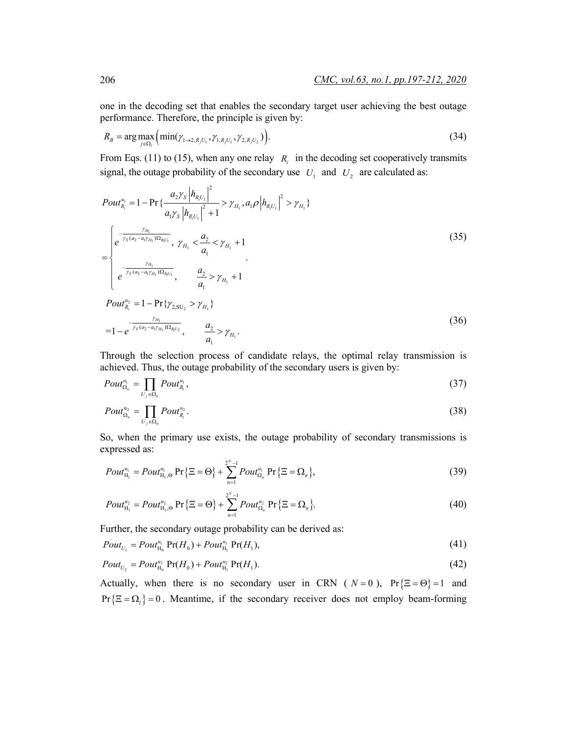one in the decoding set that enables the secondary target user achieving the best outage performance. Therefore, the principle is given by:

$$
R_B = \arg \max_{j \in \Omega_i} \left( \min(\gamma_{1 \to 2, R_j U_1}, \gamma_{1, R_j U_1}, \gamma_{2, R_j U_2}) \right). \tag{34}
$$

From Eqs. (11) to (15), when any one relay  $R_i$  in the decoding set cooperatively transmits signal, the outage probability of the secondary use  $U_1$  and  $U_2$  are calculated as:

$$
Pout_{R_i}^{u_1} = 1 - \Pr \{ \frac{a_2 \gamma_s |h_{R_i U_1}|^2}{a_1 \gamma_s |h_{R_i U_1}|^2 + 1} > \gamma_{H_1}, a_1 \rho |h_{R_i U_1}|^2 > \gamma_{H_1} \}
$$
\n
$$
= \begin{cases}\n e^{-\frac{\gamma_{H_1}}{\gamma_s (a_2 - a_1 \gamma_{H_1}) \Omega_{R_i U_1}}}, & \gamma_{H_1} < \frac{a_2}{a_1} < \gamma_{H_1} + 1 \\
 e^{-\frac{\gamma_{H_1}}{\gamma_s (a_2 - a_1 \gamma_{H_1}) \Omega_{R_i U_1}}}, & \frac{a_2}{a_1} > \gamma_{H_1} + 1 \\
 Pout_{R_i}^{u_2} = 1 - \Pr \{ \gamma_{2, SU_2} > \gamma_{H_1} \}\n\end{cases} \tag{35}
$$

$$
=1-e^{-\frac{\gamma_{H_1}}{\gamma_s(a_2-a_1\gamma_{H_1})\Omega_{R_1U_2}}}, \qquad \frac{a_2}{a_1}>\gamma_{H_1}.
$$
\n(36)

Through the selection process of candidate relays, the optimal relay transmission is achieved. Thus, the outage probability of the secondary users is given by:

$$
Pout_{\Omega_n}^{u_1} = \prod_{U_j \in \Omega_n} Pout_{R_i}^{u_1},\tag{37}
$$

$$
Pout_{\Omega_n}^{\mathfrak{u}_2} = \prod_{U_j \in \Omega_n} Pout_{R_j}^{\mathfrak{u}_2}.
$$
 (38)

So, when the primary use exists, the outage probability of secondary transmissions is expressed as:

$$
Pout_{H_1}^{u_1} = Pout_{H_1,\Theta}^{u_1} \Pr{\Xi = \Theta} + \sum_{n=1}^{2^N-1} Pout_{\Omega_n}^{u_1} \Pr{\Xi = \Omega_n},
$$
\n(39)

$$
Pour_{H_1}^{u_2} = Pour_{H_1, \Theta}^{u_2} \Pr \{ \Xi = \Theta \} + \sum_{n=1}^{2^N - 1} Pour_{\Omega_n}^{u_2} \Pr \{ \Xi = \Omega_n \}.
$$
 (40)

Further, the secondary outage probability can be derived as:

$$
Pout_{U_1} = Pout_{H_0}^{u_1} \Pr(H_0) + Pout_{H_1}^{u_1} \Pr(H_1), \tag{41}
$$

$$
Pout_{U_2} = Pout_{H_0}^{u_2} \Pr(H_0) + Pout_{H_1}^{u_2} \Pr(H_1).
$$
\n(42)

Actually, when there is no secondary user in CRN ( $N = 0$ ), Pr { $\Xi = \Theta$ } = 1 and  $Pr{\{\Xi = \Omega_i\}} = 0$ . Meantime, if the secondary receiver does not employ beam-forming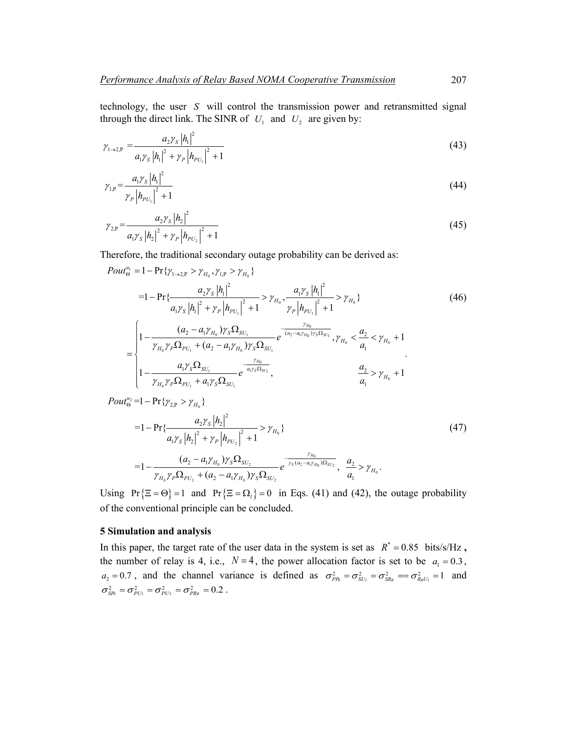technology, the user *S* will control the transmission power and retransmitted signal through the direct link. The SINR of  $U_1$  and  $U_2$  are given by:

$$
\gamma_{1\to 2,\mathrm{P}} = \frac{a_2 \gamma_s |h_1|^2}{a_1 \gamma_s |h_1|^2 + \gamma_P |h_{PU_1}|^2 + 1}
$$
\n(43)

$$
\gamma_{1,\mathrm{P}} = \frac{a_1 \gamma_s |h_1|^2}{\gamma_P |h_{\mathrm{PU}_1}|^2 + 1} \tag{44}
$$

$$
\gamma_{2,\mathrm{P}} = \frac{a_2 \gamma_s |h_2|^2}{a_1 \gamma_s |h_2|^2 + \gamma_P |h_{PU_2}|^2 + 1}
$$
\n(45)

Therefore, the traditional secondary outage probability can be derived as:

$$
Pout_{\Theta}^{\mu_{1}} = 1 - \Pr\{\gamma_{1\rightarrow2,P} > \gamma_{H_{0}}, \gamma_{1,P} > \gamma_{H_{0}}\}\
$$
\n
$$
= 1 - \Pr\{\frac{a_{2}\gamma_{S}|h_{1}|^{2}}{a_{1}\gamma_{S}|h_{1}|^{2} + \gamma_{P}|h_{PU_{1}}|^{2} + 1} > \gamma_{H_{0}}, \frac{a_{1}\gamma_{S}|h_{1}|^{2}}{\gamma_{P}|h_{PU_{1}}|^{2} + 1} > \gamma_{H_{0}}\}\
$$
\n
$$
= \begin{cases}\n1 - \frac{(a_{2} - a_{1}\gamma_{H_{0}})\gamma_{S}\Omega_{SU_{1}}}{\gamma_{H_{0}}\gamma_{P}\Omega_{PU_{1}} + (a_{2} - a_{1}\gamma_{H_{0}})\gamma_{S}\Omega_{SU_{1}}}\frac{\gamma_{H_{0}}}{\gamma_{H_{0}}\gamma_{S}\Omega_{SU_{1}}}, \gamma_{H_{0}} < \frac{a_{2}}{a_{1}} < \gamma_{H_{0}} + 1 \\
1 - \frac{a_{1}\gamma_{S}\Omega_{SU_{1}}}{\gamma_{H_{0}}\gamma_{P}\Omega_{PU_{1}} + a_{1}\gamma_{S}\Omega_{SU_{1}}}\frac{\gamma_{H_{0}}}{\gamma_{H_{0}}\gamma_{S}\Omega_{SU_{1}}}, \frac{a_{2}}{a_{1}} > \gamma_{H_{0}} + 1\n\end{cases}.
$$
\n
$$
(46)
$$

$$
Pout_{\Theta}^{u_2}=1-\Pr\{\gamma_{2,P}>\gamma_{H_0}\}\
$$

$$
=1-\Pr\{\frac{a_2\gamma_s\left|h_2\right|^2}{a_1\gamma_s\left|h_2\right|^2+\gamma_P\left|h_{PU_2}\right|^2+1}>\gamma_{H_0}\}\
$$
\n
$$
=1-\frac{(a_2-a_1\gamma_{H_0})\gamma_s\Omega_{SU_2}}{\gamma_{H_0}\gamma_P\Omega_{PU_2}+(a_2-a_1\gamma_{H_0})\gamma_s\Omega_{SU_2}}e^{-\frac{\gamma_{H_0}}{\gamma_s(a_2-a_1\gamma_{H_0})\Omega_{SU_2}}},\ \frac{a_2}{a_1}>\gamma_{H_0}.
$$
\n(47)

Using Pr  $\{ \Xi = \Theta \} = 1$  and Pr  $\{ \Xi = \Omega_i \} = 0$  in Eqs. (41) and (42), the outage probability of the conventional principle can be concluded.

# **5 Simulation and analysis**

In this paper, the target rate of the user data in the system is set as  $R^* = 0.85$  bits/s/Hz, the number of relay is 4, i.e.,  $N=4$ , the power allocation factor is set to be  $a_1 = 0.3$ ,  $a_2 = 0.7$ , and the channel variance is defined as  $\sigma_{PR}^2 = \sigma_{SU_1}^2 = \sigma_{SR_B}^2 = \sigma_{R_B U_1}^2 = 1$  and  $\sigma_{\rm SR}^2 = \sigma_{\rm PU_1}^2 = \sigma_{\rm PU_2}^2 = \sigma_{\rm PR_B}^2 = 0.2$ .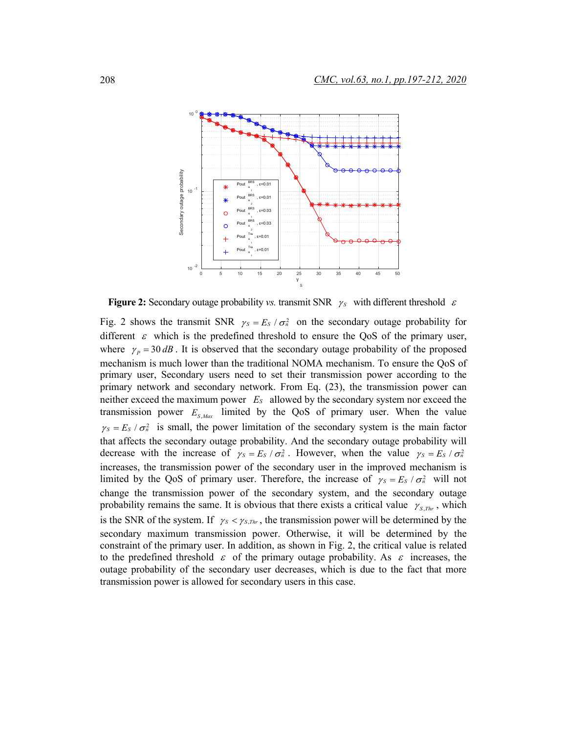

**Figure 2:** Secondary outage probability *vs.* transmit SNR  $\gamma_s$  with different threshold  $\varepsilon$ 

Fig. 2 shows the transmit SNR  $\gamma_s = E_s / \sigma_n^2$  on the secondary outage probability for different  $\varepsilon$  which is the predefined threshold to ensure the QoS of the primary user, where  $\gamma_p = 30 \, dB$ . It is observed that the secondary outage probability of the proposed mechanism is much lower than the traditional NOMA mechanism. To ensure the QoS of primary user, Secondary users need to set their transmission power according to the primary network and secondary network. From Eq. (23), the transmission power can neither exceed the maximum power *ES* allowed by the secondary system nor exceed the transmission power  $E_{S, Max}$  limited by the QoS of primary user. When the value  $\gamma_s = E_s / \sigma_n^2$  is small, the power limitation of the secondary system is the main factor that affects the secondary outage probability. And the secondary outage probability will decrease with the increase of  $\gamma_s = E_s / \sigma_n^2$ . However, when the value  $\gamma_s = E_s / \sigma_n^2$ increases, the transmission power of the secondary user in the improved mechanism is limited by the QoS of primary user. Therefore, the increase of  $\gamma_s = E_s / \sigma_a^2$  will not change the transmission power of the secondary system, and the secondary outage probability remains the same. It is obvious that there exists a critical value  $\gamma_{S, Thr}$ , which is the SNR of the system. If  $\gamma_s < \gamma_{s,n_r}$ , the transmission power will be determined by the secondary maximum transmission power. Otherwise, it will be determined by the constraint of the primary user. In addition, as shown in Fig. 2, the critical value is related to the predefined threshold  $\varepsilon$  of the primary outage probability. As  $\varepsilon$  increases, the outage probability of the secondary user decreases, which is due to the fact that more transmission power is allowed for secondary users in this case.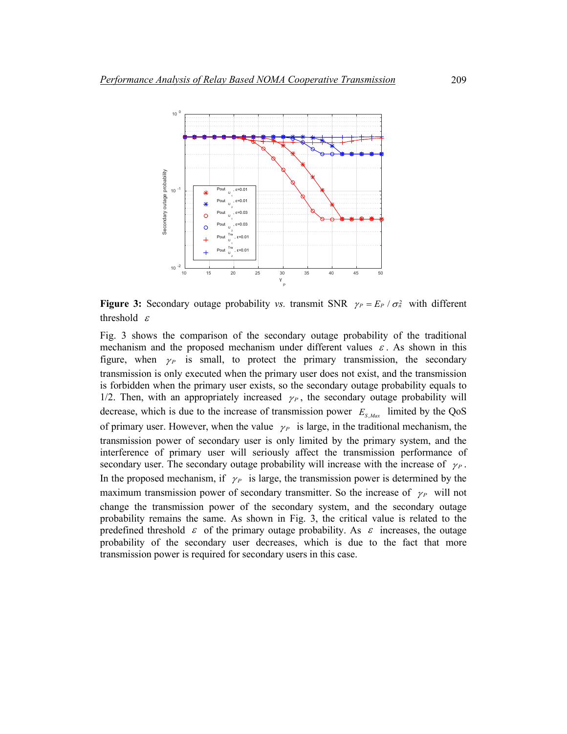

**Figure 3:** Secondary outage probability *vs.* transmit SNR  $\gamma_P = E_P / \sigma_n^2$  with different threshold  $\varepsilon$ 

Fig. 3 shows the comparison of the secondary outage probability of the traditional mechanism and the proposed mechanism under different values  $\varepsilon$ . As shown in this figure, when  $\gamma_P$  is small, to protect the primary transmission, the secondary transmission is only executed when the primary user does not exist, and the transmission is forbidden when the primary user exists, so the secondary outage probability equals to 1/2. Then, with an appropriately increased  $\gamma_P$ , the secondary outage probability will decrease, which is due to the increase of transmission power  $E_{S, Max}$  limited by the QoS of primary user. However, when the value  $\gamma_P$  is large, in the traditional mechanism, the transmission power of secondary user is only limited by the primary system, and the interference of primary user will seriously affect the transmission performance of secondary user. The secondary outage probability will increase with the increase of  $\gamma_P$ . In the proposed mechanism, if  $\gamma_P$  is large, the transmission power is determined by the maximum transmission power of secondary transmitter. So the increase of  $\gamma_P$  will not change the transmission power of the secondary system, and the secondary outage probability remains the same. As shown in Fig. 3, the critical value is related to the predefined threshold  $\varepsilon$  of the primary outage probability. As  $\varepsilon$  increases, the outage probability of the secondary user decreases, which is due to the fact that more transmission power is required for secondary users in this case.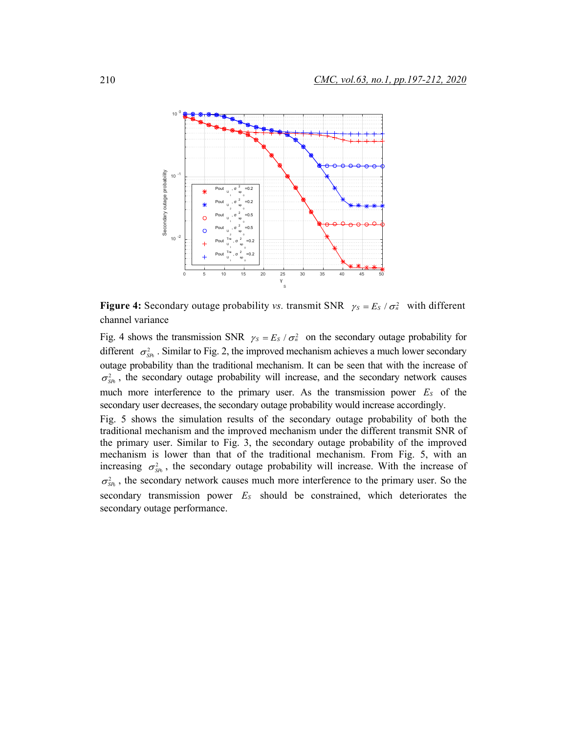

**Figure 4:** Secondary outage probability *vs.* transmit SNR  $\gamma_s = E_s / \sigma_a^2$  with different channel variance

Fig. 4 shows the transmission SNR  $\gamma_s = E_s / \sigma_n^2$  on the secondary outage probability for different  $\sigma_{SR}^2$ . Similar to Fig. 2, the improved mechanism achieves a much lower secondary outage probability than the traditional mechanism. It can be seen that with the increase of  $\sigma_{\rm SB}^2$ , the secondary outage probability will increase, and the secondary network causes much more interference to the primary user. As the transmission power *ES* of the secondary user decreases, the secondary outage probability would increase accordingly.

Fig. 5 shows the simulation results of the secondary outage probability of both the traditional mechanism and the improved mechanism under the different transmit SNR of the primary user. Similar to Fig. 3, the secondary outage probability of the improved mechanism is lower than that of the traditional mechanism. From Fig. 5, with an increasing  $\sigma_{\text{SR}}^2$ , the secondary outage probability will increase. With the increase of  $\sigma_{\rm SB}^2$ , the secondary network causes much more interference to the primary user. So the secondary transmission power *ES* should be constrained, which deteriorates the secondary outage performance.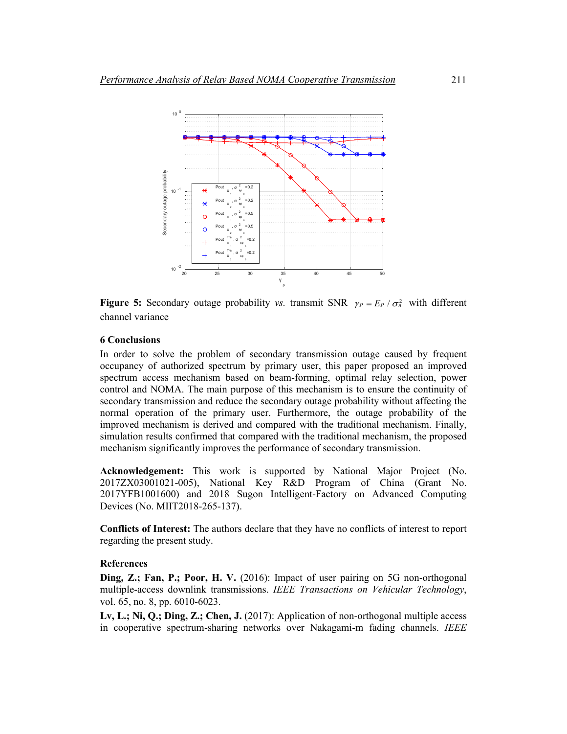

**Figure 5:** Secondary outage probability *vs.* transmit SNR  $\gamma_P = E_P / \sigma_n^2$  with different channel variance

# **6 Conclusions**

In order to solve the problem of secondary transmission outage caused by frequent occupancy of authorized spectrum by primary user, this paper proposed an improved spectrum access mechanism based on beam-forming, optimal relay selection, power control and NOMA. The main purpose of this mechanism is to ensure the continuity of secondary transmission and reduce the secondary outage probability without affecting the normal operation of the primary user. Furthermore, the outage probability of the improved mechanism is derived and compared with the traditional mechanism. Finally, simulation results confirmed that compared with the traditional mechanism, the proposed mechanism significantly improves the performance of secondary transmission.

**Acknowledgement:** This work is supported by National Major Project (No. 2017ZX03001021-005), National Key R&D Program of China (Grant No. 2017YFB1001600) and 2018 Sugon Intelligent-Factory on Advanced Computing Devices (No. MIIT2018-265-137).

**Conflicts of Interest:** The authors declare that they have no conflicts of interest to report regarding the present study.

# **References**

**Ding, Z.; Fan, P.; Poor, H. V.** (2016): Impact of user pairing on 5G non-orthogonal multiple-access downlink transmissions. *IEEE Transactions on Vehicular Technology*, vol. 65, no. 8, pp. 6010-6023.

**Lv, L.; Ni, Q.; Ding, Z.; Chen, J.** (2017): Application of non-orthogonal multiple access in cooperative spectrum-sharing networks over Nakagami-m fading channels. *IEEE*